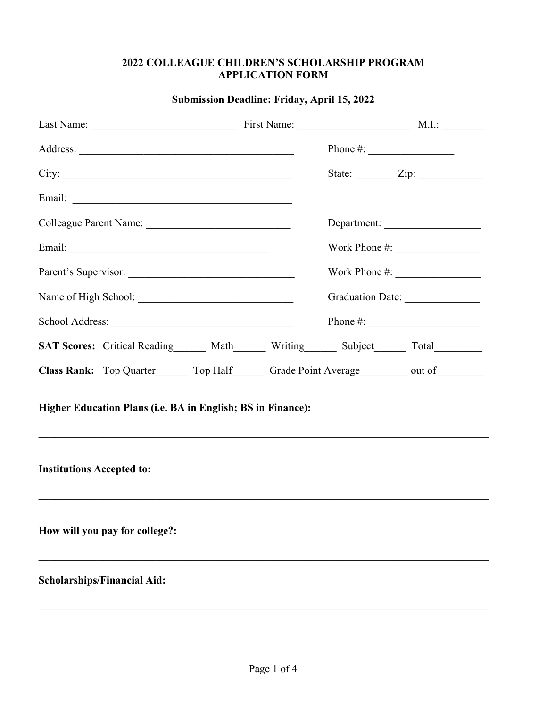#### **2022 COLLEAGUE CHILDREN'S SCHOLARSHIP PROGRAM APPLICATION FORM**

| Last Name: M.I.: Massenger M.I.: Massenger M.I.: M.I.: M.I.: M.I.: M.I.: M.I.: M.I.: M.I.: M.I.: M.I.: M.I.: M.I.: M.I.: M.I.: M.I.: M.I.: M.I.: M.I.: M.I.: M.I.: M.I.: M.I.: M.I.: M.I.: M.I.: M.I.: M.I.: M.I.: M.I.: M.I.: |  |                                  |                               |  |
|--------------------------------------------------------------------------------------------------------------------------------------------------------------------------------------------------------------------------------|--|----------------------------------|-------------------------------|--|
|                                                                                                                                                                                                                                |  |                                  | Phone #: $\frac{1}{2}$        |  |
| City:                                                                                                                                                                                                                          |  |                                  | State: $\angle$ Zip: $\angle$ |  |
|                                                                                                                                                                                                                                |  |                                  |                               |  |
| Colleague Parent Name:                                                                                                                                                                                                         |  |                                  | Department:                   |  |
|                                                                                                                                                                                                                                |  |                                  |                               |  |
|                                                                                                                                                                                                                                |  |                                  |                               |  |
|                                                                                                                                                                                                                                |  | Graduation Date: _______________ |                               |  |
|                                                                                                                                                                                                                                |  |                                  |                               |  |
| SAT Scores: Critical Reading Math Writing Subject Total Total                                                                                                                                                                  |  |                                  |                               |  |
| Class Rank: Top Quarter________ Top Half________ Grade Point Average___________ out of__________                                                                                                                               |  |                                  |                               |  |
| Higher Education Plans (i.e. BA in English; BS in Finance):                                                                                                                                                                    |  |                                  |                               |  |
| <b>Institutions Accepted to:</b>                                                                                                                                                                                               |  |                                  |                               |  |
| How will you pay for college?:                                                                                                                                                                                                 |  |                                  |                               |  |
| <b>Scholarships/Financial Aid:</b>                                                                                                                                                                                             |  |                                  |                               |  |

### **Submission Deadline: Friday, April 15, 2022**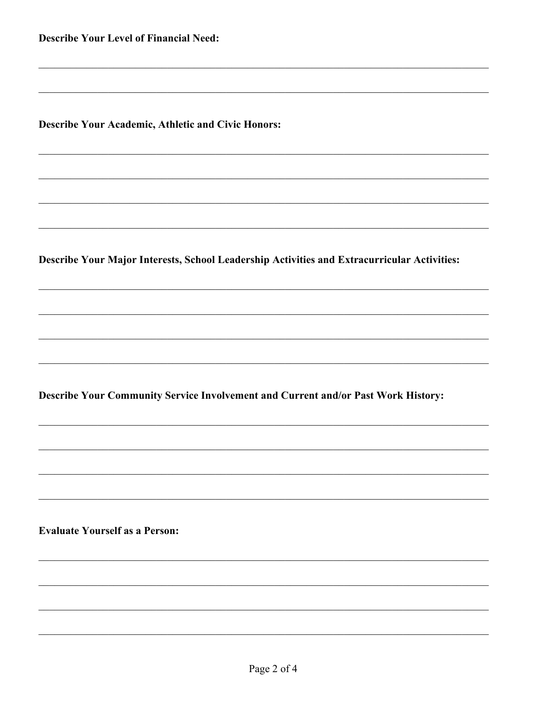**Describe Your Level of Financial Need:** 

**Describe Your Academic, Athletic and Civic Honors:** 

Describe Your Major Interests, School Leadership Activities and Extracurricular Activities:

Describe Your Community Service Involvement and Current and/or Past Work History:

**Evaluate Yourself as a Person:**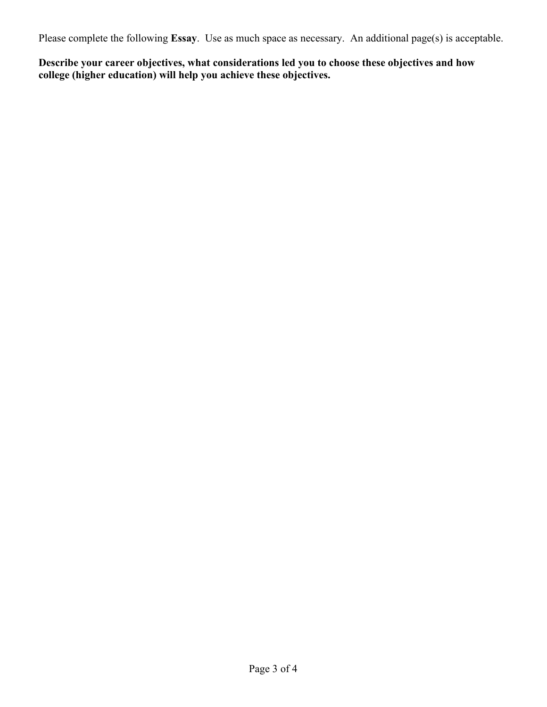Please complete the following **Essay**. Use as much space as necessary. An additional page(s) is acceptable.

**Describe your career objectives, what considerations led you to choose these objectives and how college (higher education) will help you achieve these objectives.**